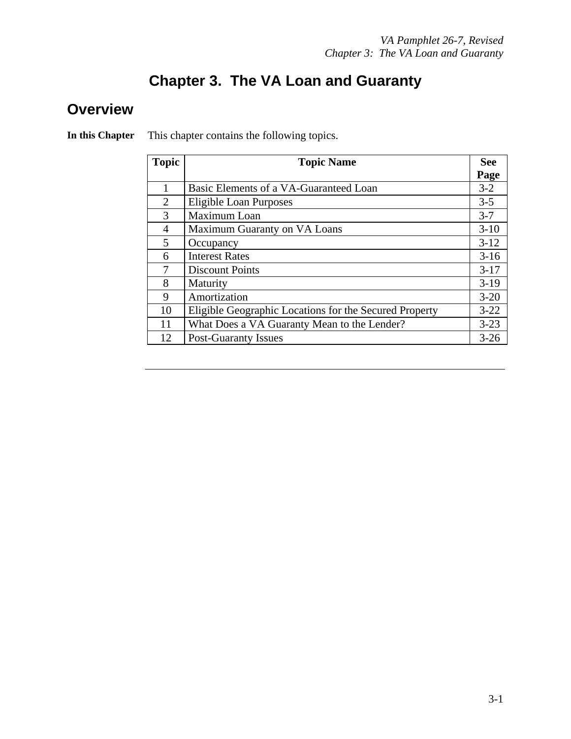### **Chapter 3. The VA Loan and Guaranty**

#### **Overview**

| <b>Topic</b>   | <b>Topic Name</b>                                      | <b>See</b> |
|----------------|--------------------------------------------------------|------------|
|                |                                                        | Page       |
|                | Basic Elements of a VA-Guaranteed Loan                 | $3 - 2$    |
| 2              | Eligible Loan Purposes                                 | $3 - 5$    |
| 3              | Maximum Loan                                           | $3 - 7$    |
| $\overline{4}$ | Maximum Guaranty on VA Loans                           | $3-10$     |
| 5              | Occupancy                                              | $3 - 12$   |
| 6              | <b>Interest Rates</b>                                  | $3-16$     |
| 7              | <b>Discount Points</b>                                 | $3-17$     |
| 8              | Maturity                                               | $3-19$     |
| 9              | Amortization                                           | $3 - 20$   |
| 10             | Eligible Geographic Locations for the Secured Property | $3 - 22$   |
| 11             | What Does a VA Guaranty Mean to the Lender?            | $3 - 23$   |
| 12             | <b>Post-Guaranty Issues</b>                            | $3 - 26$   |

**In this Chapter** This chapter contains the following topics.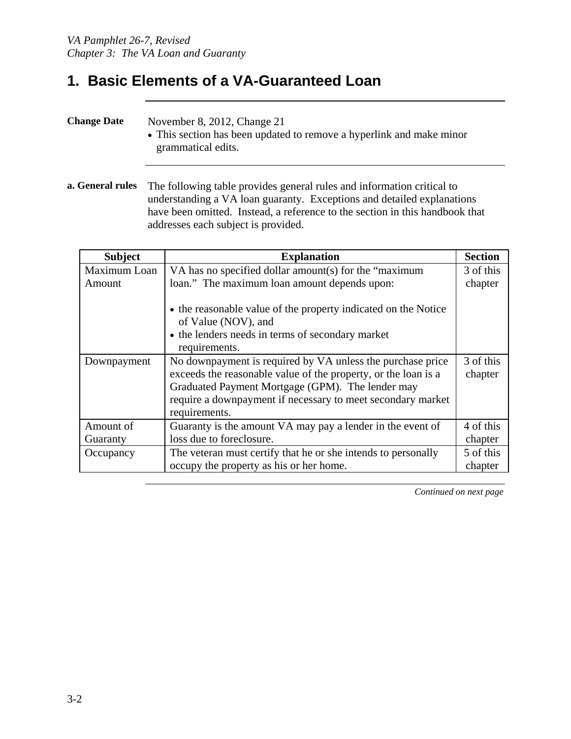#### **1. Basic Elements of a VA-Guaranteed Loan**

| <b>Change Date</b> | November 8, 2012, Change 21<br>• This section has been updated to remove a hyperlink and make minor<br>grammatical edits. |
|--------------------|---------------------------------------------------------------------------------------------------------------------------|
|--------------------|---------------------------------------------------------------------------------------------------------------------------|

**a. General rules** The following table provides general rules and information critical to understanding a VA loan guaranty. Exceptions and detailed explanations have been omitted. Instead, a reference to the section in this handbook that addresses each subject is provided.

| <b>Subject</b> | <b>Explanation</b>                                                                                                                                                                                                                                               | <b>Section</b>       |
|----------------|------------------------------------------------------------------------------------------------------------------------------------------------------------------------------------------------------------------------------------------------------------------|----------------------|
| Maximum Loan   | VA has no specified dollar amount(s) for the "maximum                                                                                                                                                                                                            |                      |
| Amount         | loan." The maximum loan amount depends upon:                                                                                                                                                                                                                     |                      |
|                | • the reasonable value of the property indicated on the Notice<br>of Value (NOV), and<br>• the lenders needs in terms of secondary market<br>requirements.                                                                                                       |                      |
| Downpayment    | No downpayment is required by VA unless the purchase price<br>exceeds the reasonable value of the property, or the loan is a<br>Graduated Payment Mortgage (GPM). The lender may<br>require a downpayment if necessary to meet secondary market<br>requirements. | 3 of this<br>chapter |
| Amount of      | Guaranty is the amount VA may pay a lender in the event of                                                                                                                                                                                                       | 4 of this            |
| Guaranty       | loss due to foreclosure.                                                                                                                                                                                                                                         | chapter              |
| Occupancy      | The veteran must certify that he or she intends to personally                                                                                                                                                                                                    | 5 of this            |
|                | occupy the property as his or her home.                                                                                                                                                                                                                          | chapter              |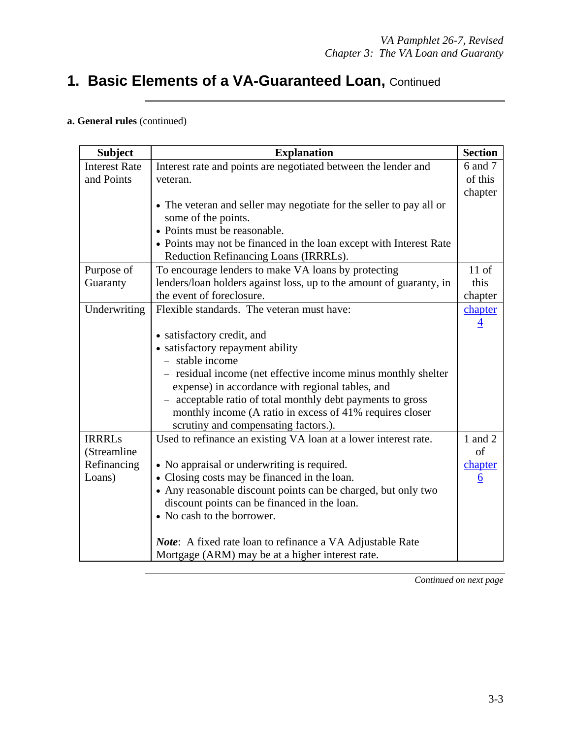### **1. Basic Elements of a VA-Guaranteed Loan,** Continued

#### **a. General rules** (continued)

| <b>Subject</b>       | <b>Explanation</b>                                                  | <b>Section</b>  |
|----------------------|---------------------------------------------------------------------|-----------------|
| <b>Interest Rate</b> | Interest rate and points are negotiated between the lender and      | 6 and 7         |
| and Points           | veteran.                                                            | of this         |
|                      |                                                                     | chapter         |
|                      | • The veteran and seller may negotiate for the seller to pay all or |                 |
|                      | some of the points.                                                 |                 |
|                      | • Points must be reasonable.                                        |                 |
|                      | • Points may not be financed in the loan except with Interest Rate  |                 |
|                      | Reduction Refinancing Loans (IRRRLs).                               |                 |
| Purpose of           | To encourage lenders to make VA loans by protecting                 | $11$ of         |
| Guaranty             | lenders/loan holders against loss, up to the amount of guaranty, in | this            |
|                      | the event of foreclosure.                                           | chapter         |
| Underwriting         | Flexible standards. The veteran must have:                          | chapter         |
|                      |                                                                     | 4               |
|                      | • satisfactory credit, and                                          |                 |
|                      | • satisfactory repayment ability                                    |                 |
|                      | - stable income                                                     |                 |
|                      | - residual income (net effective income minus monthly shelter       |                 |
|                      | expense) in accordance with regional tables, and                    |                 |
|                      | - acceptable ratio of total monthly debt payments to gross          |                 |
|                      | monthly income (A ratio in excess of 41% requires closer            |                 |
|                      | scrutiny and compensating factors.).                                |                 |
| <b>IRRRLs</b>        | Used to refinance an existing VA loan at a lower interest rate.     | 1 and 2         |
| (Streamline          |                                                                     | of              |
| Refinancing          | • No appraisal or underwriting is required.                         | chapter         |
| Loans)               | • Closing costs may be financed in the loan.                        | $6\overline{6}$ |
|                      | • Any reasonable discount points can be charged, but only two       |                 |
|                      | discount points can be financed in the loan.                        |                 |
|                      | • No cash to the borrower.                                          |                 |
|                      | <i>Note</i> : A fixed rate loan to refinance a VA Adjustable Rate   |                 |
|                      | Mortgage (ARM) may be at a higher interest rate.                    |                 |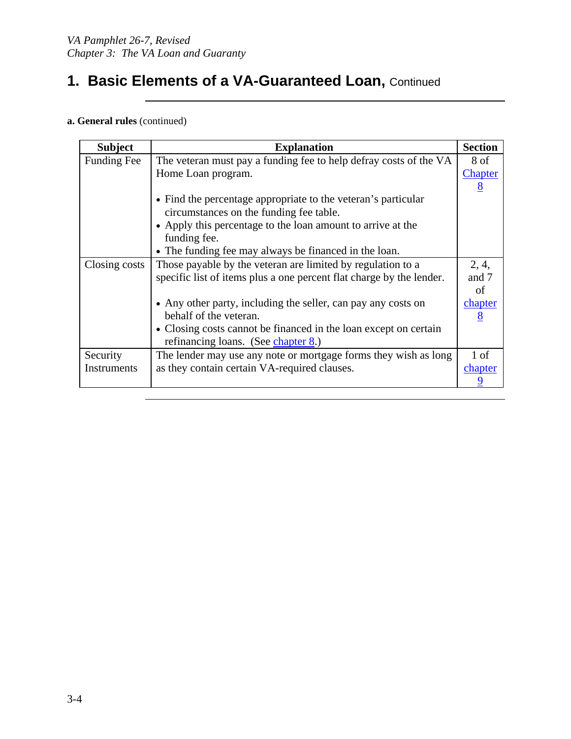### **1. Basic Elements of a VA-Guaranteed Loan, Continued**

#### **a. General rules** (continued)

| <b>Subject</b>     | <b>Explanation</b>                                                   | <b>Section</b> |
|--------------------|----------------------------------------------------------------------|----------------|
| <b>Funding Fee</b> | The veteran must pay a funding fee to help defray costs of the VA    | 8 of           |
|                    | Home Loan program.                                                   | Chapter        |
|                    |                                                                      | 8              |
|                    | • Find the percentage appropriate to the veteran's particular        |                |
|                    | circumstances on the funding fee table.                              |                |
|                    | • Apply this percentage to the loan amount to arrive at the          |                |
|                    | funding fee.                                                         |                |
|                    | • The funding fee may always be financed in the loan.                |                |
| Closing costs      | Those payable by the veteran are limited by regulation to a          | 2, 4,          |
|                    | specific list of items plus a one percent flat charge by the lender. | and 7          |
|                    |                                                                      | of             |
|                    | • Any other party, including the seller, can pay any costs on        | chapter        |
|                    | behalf of the veteran.                                               | 8              |
|                    | • Closing costs cannot be financed in the loan except on certain     |                |
|                    | refinancing loans. (See chapter 8.)                                  |                |
| Security           | The lender may use any note or mortgage forms they wish as long      |                |
| Instruments        | as they contain certain VA-required clauses.                         | chapter        |
|                    |                                                                      | 9              |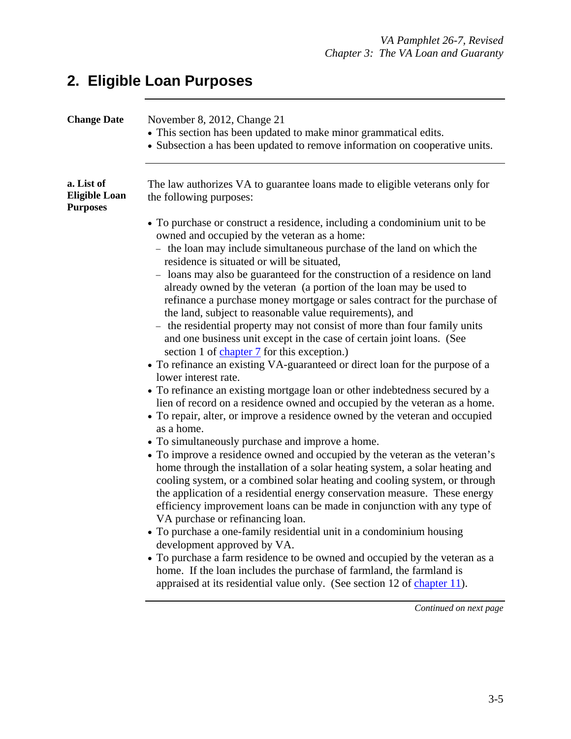## **2. Eligible Loan Purposes**

| <b>Change Date</b>                                    | November 8, 2012, Change 21<br>• This section has been updated to make minor grammatical edits.<br>• Subsection a has been updated to remove information on cooperative units.                                                                                                                                                                                                                                                          |  |
|-------------------------------------------------------|-----------------------------------------------------------------------------------------------------------------------------------------------------------------------------------------------------------------------------------------------------------------------------------------------------------------------------------------------------------------------------------------------------------------------------------------|--|
| a. List of<br><b>Eligible Loan</b><br><b>Purposes</b> | The law authorizes VA to guarantee loans made to eligible veterans only for<br>the following purposes:                                                                                                                                                                                                                                                                                                                                  |  |
|                                                       | • To purchase or construct a residence, including a condominium unit to be                                                                                                                                                                                                                                                                                                                                                              |  |
|                                                       | owned and occupied by the veteran as a home:                                                                                                                                                                                                                                                                                                                                                                                            |  |
|                                                       | - the loan may include simultaneous purchase of the land on which the<br>residence is situated or will be situated,                                                                                                                                                                                                                                                                                                                     |  |
|                                                       | - loans may also be guaranteed for the construction of a residence on land<br>already owned by the veteran (a portion of the loan may be used to<br>refinance a purchase money mortgage or sales contract for the purchase of                                                                                                                                                                                                           |  |
|                                                       | the land, subject to reasonable value requirements), and                                                                                                                                                                                                                                                                                                                                                                                |  |
|                                                       | - the residential property may not consist of more than four family units<br>and one business unit except in the case of certain joint loans. (See                                                                                                                                                                                                                                                                                      |  |
|                                                       | section 1 of chapter 7 for this exception.)                                                                                                                                                                                                                                                                                                                                                                                             |  |
|                                                       | • To refinance an existing VA-guaranteed or direct loan for the purpose of a<br>lower interest rate.                                                                                                                                                                                                                                                                                                                                    |  |
|                                                       | • To refinance an existing mortgage loan or other indebtedness secured by a<br>lien of record on a residence owned and occupied by the veteran as a home.                                                                                                                                                                                                                                                                               |  |
|                                                       | • To repair, alter, or improve a residence owned by the veteran and occupied<br>as a home.                                                                                                                                                                                                                                                                                                                                              |  |
|                                                       | • To simultaneously purchase and improve a home.                                                                                                                                                                                                                                                                                                                                                                                        |  |
|                                                       | • To improve a residence owned and occupied by the veteran as the veteran's<br>home through the installation of a solar heating system, a solar heating and<br>cooling system, or a combined solar heating and cooling system, or through<br>the application of a residential energy conservation measure. These energy<br>efficiency improvement loans can be made in conjunction with any type of<br>VA purchase or refinancing loan. |  |
|                                                       | • To purchase a one-family residential unit in a condominium housing<br>development approved by VA.<br>• To purchase a farm residence to be owned and occupied by the veteran as a<br>home. If the loan includes the purchase of farmland, the farmland is<br>appraised at its residential value only. (See section 12 of chapter 11).                                                                                                  |  |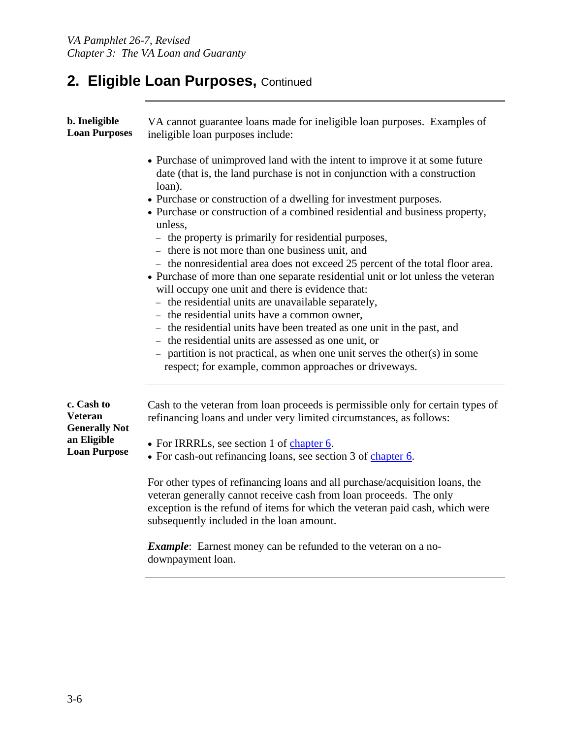## **2. Eligible Loan Purposes,** Continued

| b. Ineligible<br><b>Loan Purposes</b>                | VA cannot guarantee loans made for ineligible loan purposes. Examples of<br>ineligible loan purposes include:                                                                                                                                                                   |
|------------------------------------------------------|---------------------------------------------------------------------------------------------------------------------------------------------------------------------------------------------------------------------------------------------------------------------------------|
|                                                      | • Purchase of unimproved land with the intent to improve it at some future<br>date (that is, the land purchase is not in conjunction with a construction<br>loan).                                                                                                              |
|                                                      | • Purchase or construction of a dwelling for investment purposes.<br>• Purchase or construction of a combined residential and business property,                                                                                                                                |
|                                                      | unless.<br>- the property is primarily for residential purposes,                                                                                                                                                                                                                |
|                                                      | - there is not more than one business unit, and<br>- the nonresidential area does not exceed 25 percent of the total floor area.<br>• Purchase of more than one separate residential unit or lot unless the veteran<br>will occupy one unit and there is evidence that:         |
|                                                      | - the residential units are unavailable separately,                                                                                                                                                                                                                             |
|                                                      | - the residential units have a common owner,                                                                                                                                                                                                                                    |
|                                                      | - the residential units have been treated as one unit in the past, and                                                                                                                                                                                                          |
|                                                      | - the residential units are assessed as one unit, or<br>- partition is not practical, as when one unit serves the other(s) in some<br>respect; for example, common approaches or driveways.                                                                                     |
| c. Cash to<br><b>Veteran</b><br><b>Generally Not</b> | Cash to the veteran from loan proceeds is permissible only for certain types of<br>refinancing loans and under very limited circumstances, as follows:                                                                                                                          |
| an Eligible<br><b>Loan Purpose</b>                   | • For IRRRLs, see section 1 of chapter 6.<br>• For cash-out refinancing loans, see section 3 of chapter 6.                                                                                                                                                                      |
|                                                      | For other types of refinancing loans and all purchase/acquisition loans, the<br>veteran generally cannot receive cash from loan proceeds. The only<br>exception is the refund of items for which the veteran paid cash, which were<br>subsequently included in the loan amount. |
|                                                      | <i>Example</i> : Earnest money can be refunded to the veteran on a no-<br>downpayment loan.                                                                                                                                                                                     |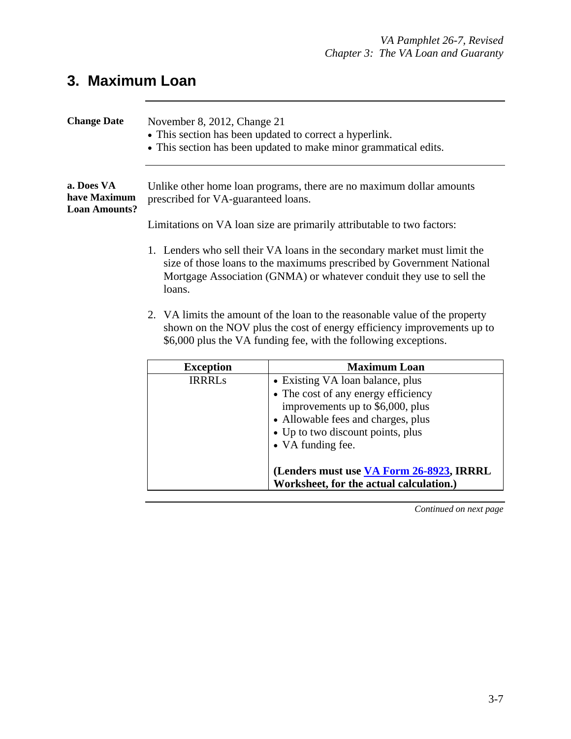## **3. Maximum Loan**

| <b>Change Date</b>                                 | November 8, 2012, Change 21<br>• This section has been updated to correct a hyperlink.<br>• This section has been updated to make minor grammatical edits.                                                                           |                                          |  |
|----------------------------------------------------|--------------------------------------------------------------------------------------------------------------------------------------------------------------------------------------------------------------------------------------|------------------------------------------|--|
| a. Does VA<br>have Maximum<br><b>Loan Amounts?</b> | Unlike other home loan programs, there are no maximum dollar amounts<br>prescribed for VA-guaranteed loans.<br>Limitations on VA loan size are primarily attributable to two factors:                                                |                                          |  |
|                                                    | 1. Lenders who sell their VA loans in the secondary market must limit the<br>size of those loans to the maximums prescribed by Government National<br>Mortgage Association (GNMA) or whatever conduit they use to sell the<br>loans. |                                          |  |
|                                                    | 2. VA limits the amount of the loan to the reasonable value of the property<br>shown on the NOV plus the cost of energy efficiency improvements up to<br>\$6,000 plus the VA funding fee, with the following exceptions.             |                                          |  |
|                                                    | <b>Exception</b>                                                                                                                                                                                                                     | <b>Maximum Loan</b>                      |  |
|                                                    | <b>IRRRLs</b>                                                                                                                                                                                                                        | • Existing VA loan balance, plus         |  |
|                                                    |                                                                                                                                                                                                                                      | • The cost of any energy efficiency      |  |
|                                                    |                                                                                                                                                                                                                                      | improvements up to \$6,000, plus         |  |
|                                                    |                                                                                                                                                                                                                                      | • Allowable fees and charges, plus       |  |
|                                                    |                                                                                                                                                                                                                                      | • Up to two discount points, plus        |  |
|                                                    |                                                                                                                                                                                                                                      | • VA funding fee.                        |  |
|                                                    |                                                                                                                                                                                                                                      | (Lenders must use VA Form 26-8923, IRRRL |  |

*Continued on next page* 

**Worksheet, for the actual calculation.)**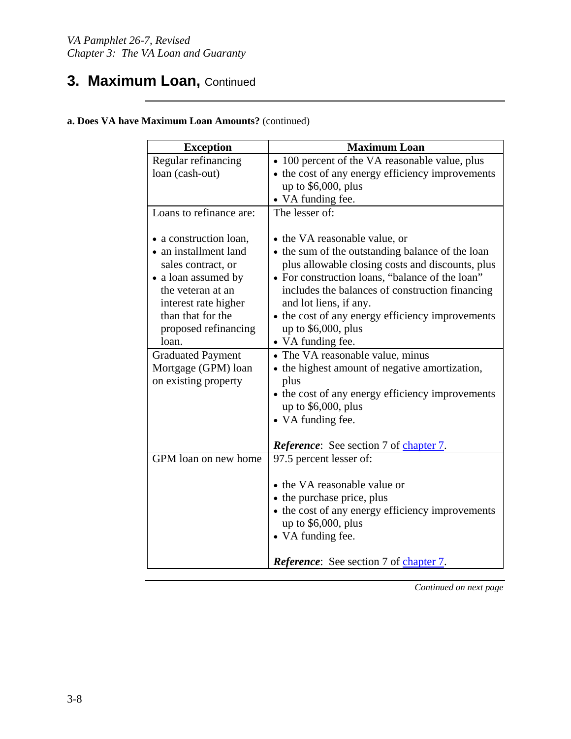### **3. Maximum Loan, Continued**

| <b>Exception</b>         | <b>Maximum Loan</b>                              |  |
|--------------------------|--------------------------------------------------|--|
| Regular refinancing      | • 100 percent of the VA reasonable value, plus   |  |
| loan (cash-out)          | • the cost of any energy efficiency improvements |  |
|                          | up to $$6,000$ , plus                            |  |
|                          | • VA funding fee.                                |  |
| Loans to refinance are:  | The lesser of:                                   |  |
| • a construction loan,   | • the VA reasonable value, or                    |  |
| • an installment land    | • the sum of the outstanding balance of the loan |  |
| sales contract, or       | plus allowable closing costs and discounts, plus |  |
| • a loan assumed by      | • For construction loans, "balance of the loan"  |  |
| the veteran at an        | includes the balances of construction financing  |  |
| interest rate higher     | and lot liens, if any.                           |  |
| than that for the        | • the cost of any energy efficiency improvements |  |
| proposed refinancing     | up to $$6,000$ , plus                            |  |
| loan.                    | • VA funding fee.                                |  |
| <b>Graduated Payment</b> | • The VA reasonable value, minus                 |  |
| Mortgage (GPM) loan      | • the highest amount of negative amortization,   |  |
| on existing property     | plus                                             |  |
|                          | • the cost of any energy efficiency improvements |  |
|                          | up to $$6,000$ , plus                            |  |
|                          | • VA funding fee.                                |  |
|                          | <b>Reference:</b> See section 7 of chapter 7.    |  |
| GPM loan on new home     | 97.5 percent lesser of:                          |  |
|                          |                                                  |  |
|                          | • the VA reasonable value or                     |  |
|                          | • the purchase price, plus                       |  |
|                          | • the cost of any energy efficiency improvements |  |
|                          | up to $$6,000$ , plus                            |  |
|                          | • VA funding fee.                                |  |
|                          | <b>Reference:</b> See section 7 of chapter 7.    |  |

#### **a. Does VA have Maximum Loan Amounts?** (continued)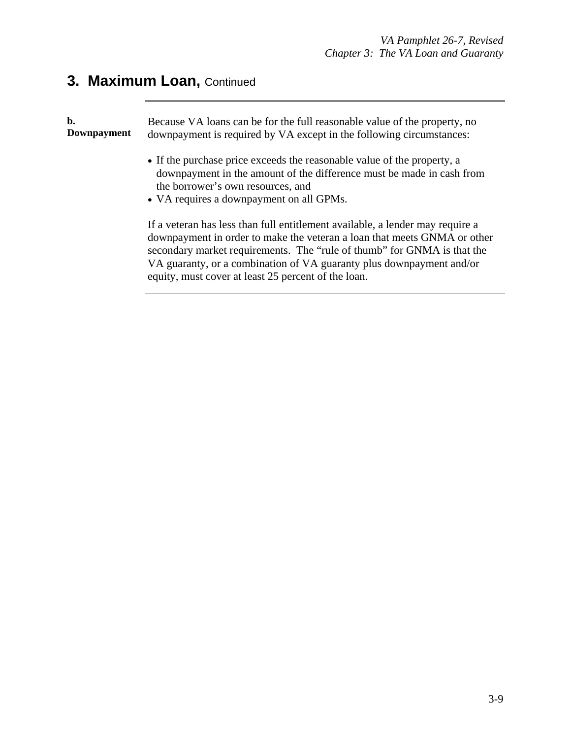# **3. Maximum Loan, Continued**

| b.<br>Downpayment | Because VA loans can be for the full reasonable value of the property, no<br>downpayment is required by VA except in the following circumstances:                                                                                                                                                                                                                   |  |
|-------------------|---------------------------------------------------------------------------------------------------------------------------------------------------------------------------------------------------------------------------------------------------------------------------------------------------------------------------------------------------------------------|--|
|                   | • If the purchase price exceeds the reasonable value of the property, a<br>downpayment in the amount of the difference must be made in cash from<br>the borrower's own resources, and<br>• VA requires a downpayment on all GPMs.                                                                                                                                   |  |
|                   | If a veteran has less than full entitlement available, a lender may require a<br>downpayment in order to make the veteran a loan that meets GNMA or other<br>secondary market requirements. The "rule of thumb" for GNMA is that the<br>VA guaranty, or a combination of VA guaranty plus downpayment and/or<br>equity, must cover at least 25 percent of the loan. |  |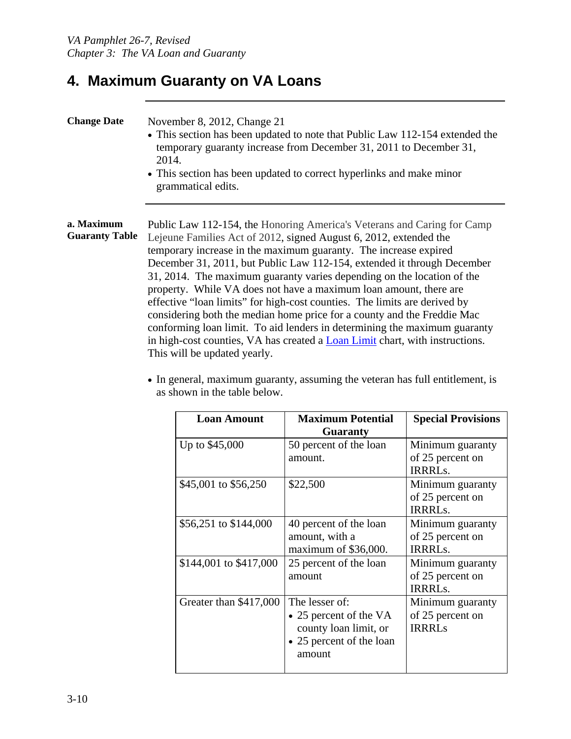### **4. Maximum Guaranty on VA Loans**

| <b>Change Date</b><br>November 8, 2012, Change 21<br>• This section has been updated to note that Public Law 112-154 extended the<br>temporary guaranty increase from December 31, 2011 to December 31,<br>2014.<br>• This section has been updated to correct hyperlinks and make minor<br>grammatical edits. |                                                                                                                                                                                                                                                                                                                                                                                                                                                                                                                                                                                                                                                                                                                                                                                                        |
|----------------------------------------------------------------------------------------------------------------------------------------------------------------------------------------------------------------------------------------------------------------------------------------------------------------|--------------------------------------------------------------------------------------------------------------------------------------------------------------------------------------------------------------------------------------------------------------------------------------------------------------------------------------------------------------------------------------------------------------------------------------------------------------------------------------------------------------------------------------------------------------------------------------------------------------------------------------------------------------------------------------------------------------------------------------------------------------------------------------------------------|
| a. Maximum<br><b>Guaranty Table</b>                                                                                                                                                                                                                                                                            | Public Law 112-154, the Honoring America's Veterans and Caring for Camp<br>Lejeune Families Act of 2012, signed August 6, 2012, extended the<br>temporary increase in the maximum guaranty. The increase expired<br>December 31, 2011, but Public Law 112-154, extended it through December<br>31, 2014. The maximum guaranty varies depending on the location of the<br>property. While VA does not have a maximum loan amount, there are<br>effective "loan limits" for high-cost counties. The limits are derived by<br>considering both the median home price for a county and the Freddie Mac<br>conforming loan limit. To aid lenders in determining the maximum guaranty<br>in high-cost counties, VA has created a <b>Loan Limit</b> chart, with instructions.<br>This will be updated yearly. |

• In general, maximum guaranty, assuming the veteran has full entitlement, is as shown in the table below.

| <b>Loan Amount</b>     | <b>Maximum Potential</b> | <b>Special Provisions</b> |
|------------------------|--------------------------|---------------------------|
|                        | <b>Guaranty</b>          |                           |
| Up to \$45,000         | 50 percent of the loan   | Minimum guaranty          |
|                        | amount.                  | of 25 percent on          |
|                        |                          | <b>IRRRLs.</b>            |
| \$45,001 to \$56,250   | \$22,500                 | Minimum guaranty          |
|                        |                          | of 25 percent on          |
|                        |                          | <b>IRRRLs.</b>            |
| \$56,251 to \$144,000  | 40 percent of the loan   | Minimum guaranty          |
|                        | amount, with a           | of 25 percent on          |
|                        | maximum of \$36,000.     | <b>IRRRLs.</b>            |
| \$144,001 to \$417,000 | 25 percent of the loan   | Minimum guaranty          |
|                        | amount                   | of 25 percent on          |
|                        |                          | <b>IRRRLs.</b>            |
| Greater than \$417,000 | The lesser of:           | Minimum guaranty          |
|                        | • 25 percent of the VA   | of 25 percent on          |
|                        | county loan limit, or    | <b>IRRRLs</b>             |
|                        | • 25 percent of the loan |                           |
|                        | amount                   |                           |
|                        |                          |                           |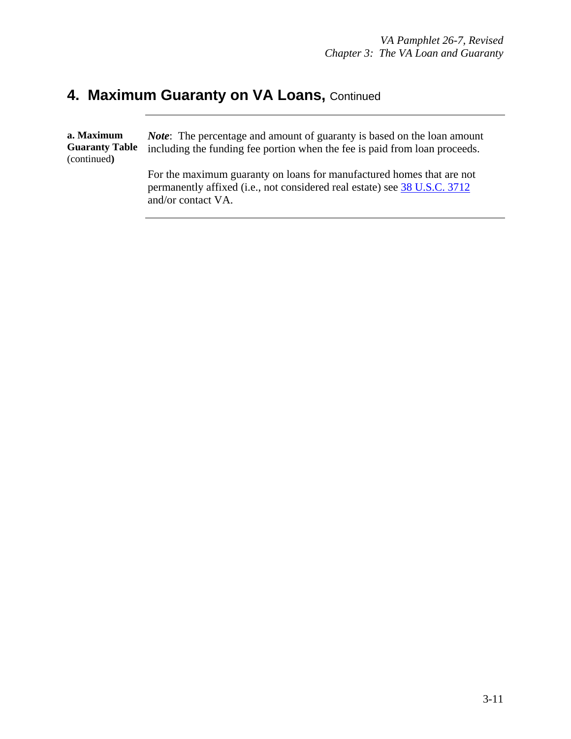#### **4. Maximum Guaranty on VA Loans, Continued**

and/or contact VA.

| a. Maximum<br><b>Guaranty Table</b><br>(continued) | <i>Note:</i> The percentage and amount of guaranty is based on the loan amount<br>including the funding fee portion when the fee is paid from loan proceeds. |
|----------------------------------------------------|--------------------------------------------------------------------------------------------------------------------------------------------------------------|
|                                                    | For the maximum guaranty on loans for manufactured homes that are not<br>permanently affixed (i.e., not considered real estate) see 38 U.S.C. 3712           |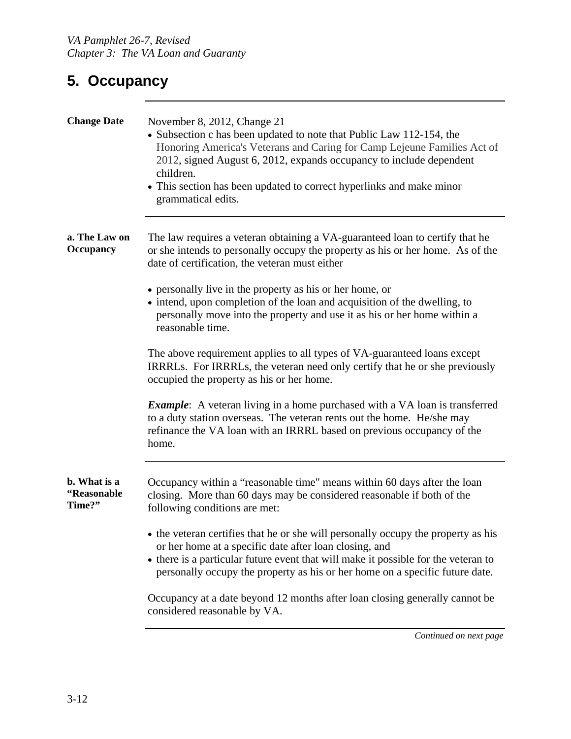## **5. Occupancy**

| <b>Change Date</b>                    | November 8, 2012, Change 21<br>• Subsection c has been updated to note that Public Law 112-154, the<br>Honoring America's Veterans and Caring for Camp Lejeune Families Act of<br>2012, signed August 6, 2012, expands occupancy to include dependent<br>children.<br>• This section has been updated to correct hyperlinks and make minor<br>grammatical edits. |
|---------------------------------------|------------------------------------------------------------------------------------------------------------------------------------------------------------------------------------------------------------------------------------------------------------------------------------------------------------------------------------------------------------------|
| a. The Law on<br><b>Occupancy</b>     | The law requires a veteran obtaining a VA-guaranteed loan to certify that he<br>or she intends to personally occupy the property as his or her home. As of the<br>date of certification, the veteran must either                                                                                                                                                 |
|                                       | • personally live in the property as his or her home, or<br>• intend, upon completion of the loan and acquisition of the dwelling, to<br>personally move into the property and use it as his or her home within a<br>reasonable time.                                                                                                                            |
|                                       | The above requirement applies to all types of VA-guaranteed loans except<br>IRRRLs. For IRRRLs, the veteran need only certify that he or she previously<br>occupied the property as his or her home.                                                                                                                                                             |
|                                       | <b>Example:</b> A veteran living in a home purchased with a VA loan is transferred<br>to a duty station overseas. The veteran rents out the home. He/she may<br>refinance the VA loan with an IRRRL based on previous occupancy of the<br>home.                                                                                                                  |
| b. What is a<br>"Reasonable<br>Time?" | Occupancy within a "reasonable time" means within 60 days after the loan<br>closing. More than 60 days may be considered reasonable if both of the<br>following conditions are met:                                                                                                                                                                              |
|                                       | • the veteran certifies that he or she will personally occupy the property as his<br>or her home at a specific date after loan closing, and<br>• there is a particular future event that will make it possible for the veteran to<br>personally occupy the property as his or her home on a specific future date.                                                |
|                                       | Occupancy at a date beyond 12 months after loan closing generally cannot be<br>considered reasonable by VA.                                                                                                                                                                                                                                                      |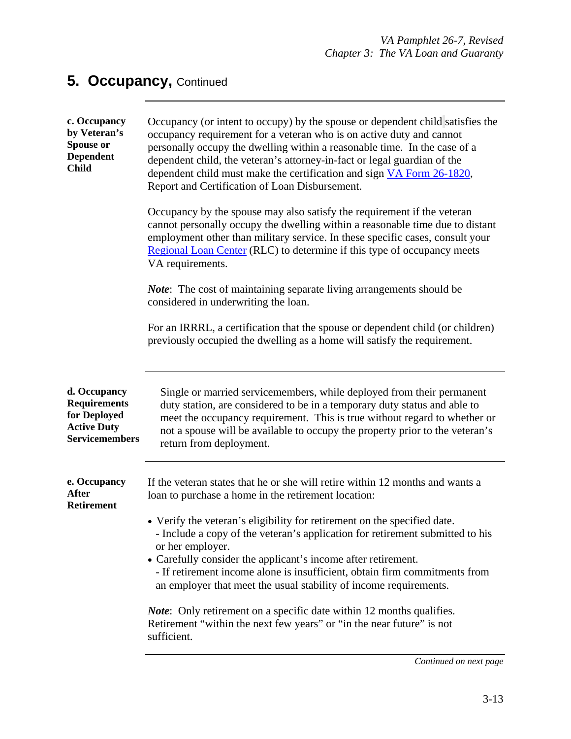### **5. Occupancy, Continued**

| c. Occupancy<br>by Veteran's<br>Spouse or<br><b>Dependent</b><br><b>Child</b>                      | Occupancy (or intent to occupy) by the spouse or dependent child satisfies the<br>occupancy requirement for a veteran who is on active duty and cannot<br>personally occupy the dwelling within a reasonable time. In the case of a<br>dependent child, the veteran's attorney-in-fact or legal guardian of the<br>dependent child must make the certification and sign VA Form 26-1820,<br>Report and Certification of Loan Disbursement.<br>Occupancy by the spouse may also satisfy the requirement if the veteran<br>cannot personally occupy the dwelling within a reasonable time due to distant<br>employment other than military service. In these specific cases, consult your<br>Regional Loan Center (RLC) to determine if this type of occupancy meets<br>VA requirements.<br><i>Note</i> : The cost of maintaining separate living arrangements should be<br>considered in underwriting the loan.<br>For an IRRRL, a certification that the spouse or dependent child (or children)<br>previously occupied the dwelling as a home will satisfy the requirement. |
|----------------------------------------------------------------------------------------------------|------------------------------------------------------------------------------------------------------------------------------------------------------------------------------------------------------------------------------------------------------------------------------------------------------------------------------------------------------------------------------------------------------------------------------------------------------------------------------------------------------------------------------------------------------------------------------------------------------------------------------------------------------------------------------------------------------------------------------------------------------------------------------------------------------------------------------------------------------------------------------------------------------------------------------------------------------------------------------------------------------------------------------------------------------------------------------|
| d. Occupancy<br><b>Requirements</b><br>for Deployed<br><b>Active Duty</b><br><b>Servicemembers</b> | Single or married servicemembers, while deployed from their permanent<br>duty station, are considered to be in a temporary duty status and able to<br>meet the occupancy requirement. This is true without regard to whether or<br>not a spouse will be available to occupy the property prior to the veteran's<br>return from deployment.                                                                                                                                                                                                                                                                                                                                                                                                                                                                                                                                                                                                                                                                                                                                   |
| e. Occupancy<br><b>After</b><br><b>Retirement</b>                                                  | If the veteran states that he or she will retire within 12 months and wants a<br>loan to purchase a home in the retirement location:<br>• Verify the veteran's eligibility for retirement on the specified date.<br>- Include a copy of the veteran's application for retirement submitted to his<br>or her employer.<br>• Carefully consider the applicant's income after retirement.<br>- If retirement income alone is insufficient, obtain firm commitments from<br>an employer that meet the usual stability of income requirements.<br><i>Note</i> : Only retirement on a specific date within 12 months qualifies.<br>Retirement "within the next few years" or "in the near future" is not<br>sufficient.                                                                                                                                                                                                                                                                                                                                                            |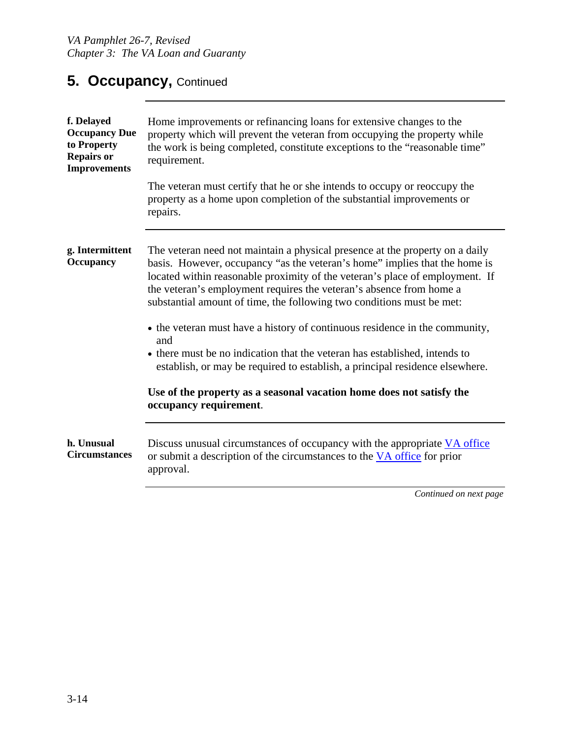#### **5. Occupancy, Continued**

| f. Delayed<br><b>Occupancy Due</b><br>to Property<br><b>Repairs or</b><br><b>Improvements</b> | Home improvements or refinancing loans for extensive changes to the<br>property which will prevent the veteran from occupying the property while<br>the work is being completed, constitute exceptions to the "reasonable time"<br>requirement.                                                                                                                                            |
|-----------------------------------------------------------------------------------------------|--------------------------------------------------------------------------------------------------------------------------------------------------------------------------------------------------------------------------------------------------------------------------------------------------------------------------------------------------------------------------------------------|
|                                                                                               | The veteran must certify that he or she intends to occupy or reoccupy the<br>property as a home upon completion of the substantial improvements or<br>repairs.                                                                                                                                                                                                                             |
| g. Intermittent<br><b>Occupancy</b>                                                           | The veteran need not maintain a physical presence at the property on a daily<br>basis. However, occupancy "as the veteran's home" implies that the home is<br>located within reasonable proximity of the veteran's place of employment. If<br>the veteran's employment requires the veteran's absence from home a<br>substantial amount of time, the following two conditions must be met: |
|                                                                                               | • the veteran must have a history of continuous residence in the community,<br>and<br>• there must be no indication that the veteran has established, intends to<br>establish, or may be required to establish, a principal residence elsewhere.                                                                                                                                           |
|                                                                                               | Use of the property as a seasonal vacation home does not satisfy the<br>occupancy requirement.                                                                                                                                                                                                                                                                                             |
| h. Unusual<br><b>Circumstances</b>                                                            | Discuss unusual circumstances of occupancy with the appropriate VA office<br>or submit a description of the circumstances to the VA office for prior<br>approval.                                                                                                                                                                                                                          |
|                                                                                               | Continued on nort page                                                                                                                                                                                                                                                                                                                                                                     |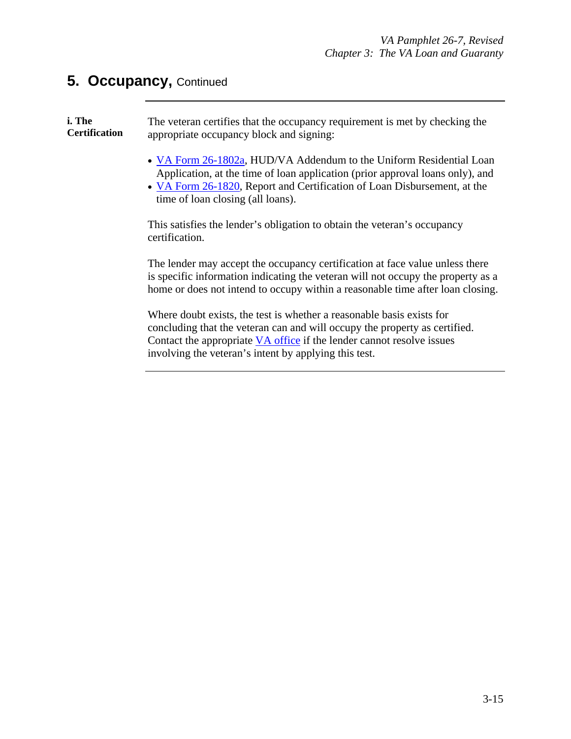#### **5. Occupancy,** Continued

**i. The Certification**  The veteran certifies that the occupancy requirement is met by checking the appropriate occupancy block and signing: • VA Form 26-1802a, HUD/VA Addendum to the Uniform Residential Loan Application, at the time of loan application (prior approval loans only), and • VA Form 26-1820, Report and Certification of Loan Disbursement, at the time of loan closing (all loans). This satisfies the lender's obligation to obtain the veteran's occupancy certification. The lender may accept the occupancy certification at face value unless there is specific information indicating the veteran will not occupy the property as a home or does not intend to occupy within a reasonable time after loan closing.

> Where doubt exists, the test is whether a reasonable basis exists for concluding that the veteran can and will occupy the property as certified. Contact the appropriate VA office if the lender cannot resolve issues involving the veteran's intent by applying this test.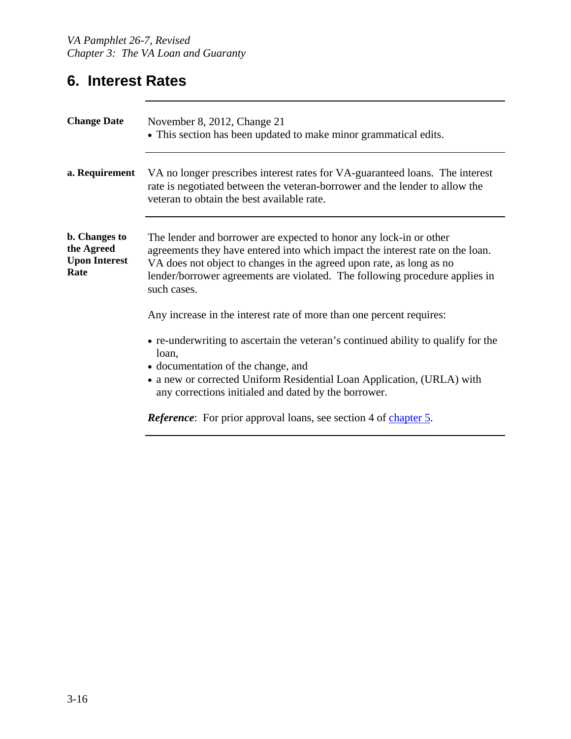## **6. Interest Rates**

| <b>Change Date</b>                                                 | November 8, 2012, Change 21<br>• This section has been updated to make minor grammatical edits.                                                                                                                                                                                                                           |
|--------------------------------------------------------------------|---------------------------------------------------------------------------------------------------------------------------------------------------------------------------------------------------------------------------------------------------------------------------------------------------------------------------|
| a. Requirement                                                     | VA no longer prescribes interest rates for VA-guaranteed loans. The interest<br>rate is negotiated between the veteran-borrower and the lender to allow the<br>veteran to obtain the best available rate.                                                                                                                 |
| <b>b.</b> Changes to<br>the Agreed<br><b>Upon Interest</b><br>Rate | The lender and borrower are expected to honor any lock-in or other<br>agreements they have entered into which impact the interest rate on the loan.<br>VA does not object to changes in the agreed upon rate, as long as no<br>lender/borrower agreements are violated. The following procedure applies in<br>such cases. |
|                                                                    | Any increase in the interest rate of more than one percent requires:                                                                                                                                                                                                                                                      |
|                                                                    | • re-underwriting to ascertain the veteran's continued ability to qualify for the<br>loan,<br>• documentation of the change, and<br>• a new or corrected Uniform Residential Loan Application, (URLA) with<br>any corrections initialed and dated by the borrower.                                                        |
|                                                                    | <i>Reference</i> : For prior approval loans, see section 4 of chapter 5.                                                                                                                                                                                                                                                  |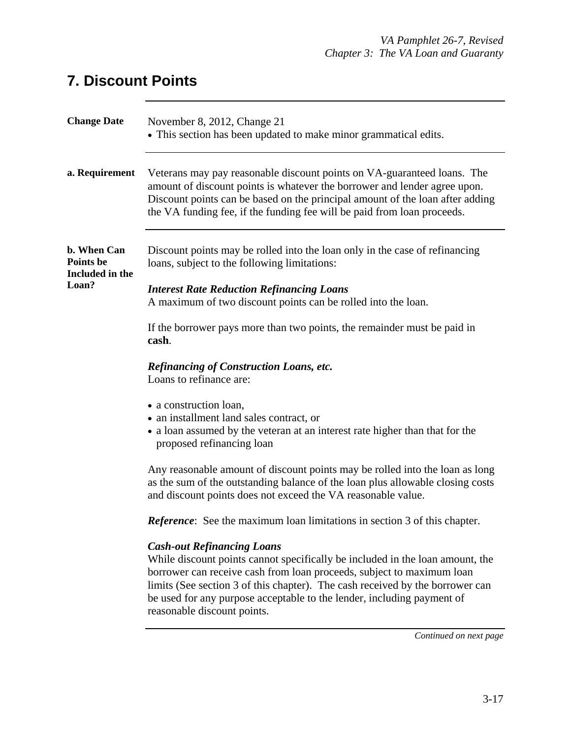## **7. Discount Points**

| <b>Change Date</b>                                          | November 8, 2012, Change 21<br>• This section has been updated to make minor grammatical edits.                                                                                                                                                                                                                                                                                       |
|-------------------------------------------------------------|---------------------------------------------------------------------------------------------------------------------------------------------------------------------------------------------------------------------------------------------------------------------------------------------------------------------------------------------------------------------------------------|
| a. Requirement                                              | Veterans may pay reasonable discount points on VA-guaranteed loans. The<br>amount of discount points is whatever the borrower and lender agree upon.<br>Discount points can be based on the principal amount of the loan after adding<br>the VA funding fee, if the funding fee will be paid from loan proceeds.                                                                      |
| b. When Can<br><b>Points be</b><br>Included in the<br>Loan? | Discount points may be rolled into the loan only in the case of refinancing<br>loans, subject to the following limitations:<br><b>Interest Rate Reduction Refinancing Loans</b><br>A maximum of two discount points can be rolled into the loan.                                                                                                                                      |
|                                                             | If the borrower pays more than two points, the remainder must be paid in<br>cash.                                                                                                                                                                                                                                                                                                     |
|                                                             | <b>Refinancing of Construction Loans, etc.</b><br>Loans to refinance are:                                                                                                                                                                                                                                                                                                             |
|                                                             | • a construction loan,<br>• an installment land sales contract, or<br>• a loan assumed by the veteran at an interest rate higher than that for the<br>proposed refinancing loan                                                                                                                                                                                                       |
|                                                             | Any reasonable amount of discount points may be rolled into the loan as long<br>as the sum of the outstanding balance of the loan plus allowable closing costs<br>and discount points does not exceed the VA reasonable value.                                                                                                                                                        |
|                                                             | <b>Reference:</b> See the maximum loan limitations in section 3 of this chapter.                                                                                                                                                                                                                                                                                                      |
|                                                             | <b>Cash-out Refinancing Loans</b><br>While discount points cannot specifically be included in the loan amount, the<br>borrower can receive cash from loan proceeds, subject to maximum loan<br>limits (See section 3 of this chapter). The cash received by the borrower can<br>be used for any purpose acceptable to the lender, including payment of<br>reasonable discount points. |
|                                                             | Continued on next page                                                                                                                                                                                                                                                                                                                                                                |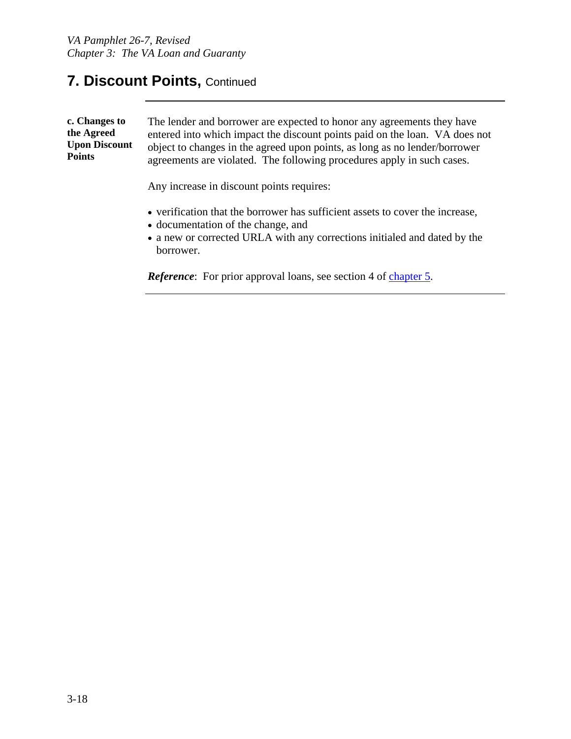#### **7. Discount Points,** Continued

| c. Changes to<br>the Agreed<br><b>Upon Discount</b><br><b>Points</b> | The lender and borrower are expected to honor any agreements they have<br>entered into which impact the discount points paid on the loan. VA does not<br>object to changes in the agreed upon points, as long as no lender/borrower<br>agreements are violated. The following procedures apply in such cases. |
|----------------------------------------------------------------------|---------------------------------------------------------------------------------------------------------------------------------------------------------------------------------------------------------------------------------------------------------------------------------------------------------------|
|                                                                      | Any increase in discount points requires:                                                                                                                                                                                                                                                                     |
|                                                                      | • verification that the borrower has sufficient assets to cover the increase,<br>$\mathbf{1}$ , $\mathbf{1}$ , $\mathbf{1}$ , $\mathbf{1}$ , $\mathbf{1}$                                                                                                                                                     |

- documentation of the change, and
- a new or corrected URLA with any corrections initialed and dated by the borrower.

*Reference*: For prior approval loans, see section 4 of chapter 5.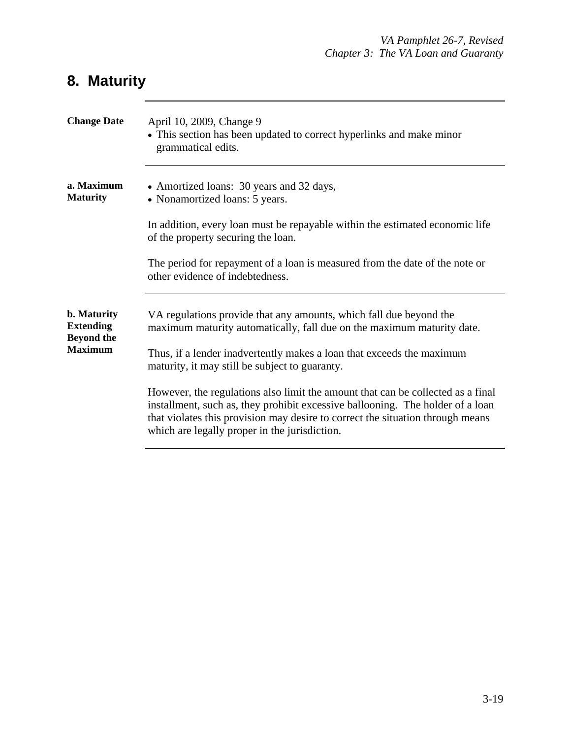## **8. Maturity**

| <b>Change Date</b>                                                            | April 10, 2009, Change 9<br>• This section has been updated to correct hyperlinks and make minor<br>grammatical edits.                                                                                                                                                                               |
|-------------------------------------------------------------------------------|------------------------------------------------------------------------------------------------------------------------------------------------------------------------------------------------------------------------------------------------------------------------------------------------------|
| a. Maximum<br><b>Maturity</b>                                                 | • Amortized loans: 30 years and 32 days,<br>• Nonamortized loans: 5 years.                                                                                                                                                                                                                           |
|                                                                               | In addition, every loan must be repayable within the estimated economic life<br>of the property securing the loan.                                                                                                                                                                                   |
|                                                                               | The period for repayment of a loan is measured from the date of the note or<br>other evidence of indebtedness.                                                                                                                                                                                       |
| <b>b.</b> Maturity<br><b>Extending</b><br><b>Beyond the</b><br><b>Maximum</b> | VA regulations provide that any amounts, which fall due beyond the<br>maximum maturity automatically, fall due on the maximum maturity date.                                                                                                                                                         |
|                                                                               | Thus, if a lender inadvertently makes a loan that exceeds the maximum<br>maturity, it may still be subject to guaranty.                                                                                                                                                                              |
|                                                                               | However, the regulations also limit the amount that can be collected as a final<br>installment, such as, they prohibit excessive ballooning. The holder of a loan<br>that violates this provision may desire to correct the situation through means<br>which are legally proper in the jurisdiction. |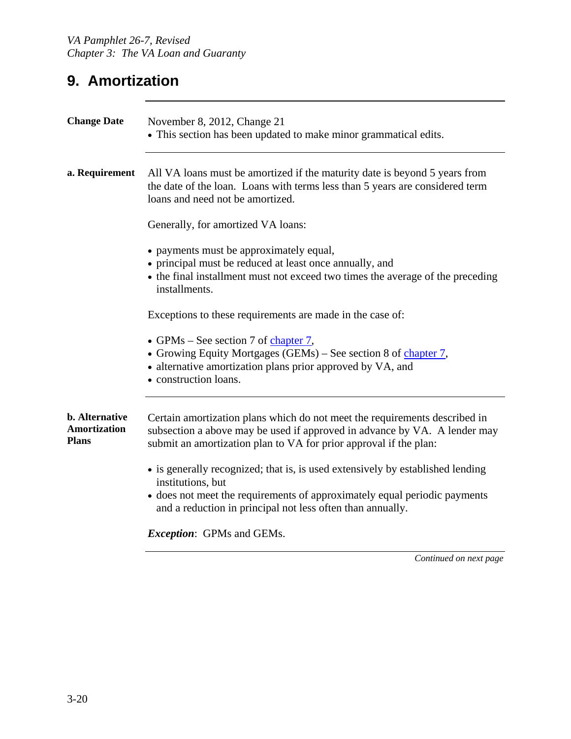## **9. Amortization**

| <b>Change Date</b>                                           | November 8, 2012, Change 21<br>• This section has been updated to make minor grammatical edits.                                                                                                                                                |
|--------------------------------------------------------------|------------------------------------------------------------------------------------------------------------------------------------------------------------------------------------------------------------------------------------------------|
| a. Requirement                                               | All VA loans must be amortized if the maturity date is beyond 5 years from<br>the date of the loan. Loans with terms less than 5 years are considered term<br>loans and need not be amortized.                                                 |
|                                                              | Generally, for amortized VA loans:                                                                                                                                                                                                             |
|                                                              | • payments must be approximately equal,<br>• principal must be reduced at least once annually, and<br>• the final installment must not exceed two times the average of the preceding<br>installments.                                          |
|                                                              | Exceptions to these requirements are made in the case of:                                                                                                                                                                                      |
|                                                              | • GPMs – See section 7 of chapter 7,<br>• Growing Equity Mortgages (GEMs) – See section 8 of chapter 7,<br>• alternative amortization plans prior approved by VA, and<br>• construction loans.                                                 |
| <b>b.</b> Alternative<br><b>Amortization</b><br><b>Plans</b> | Certain amortization plans which do not meet the requirements described in<br>subsection a above may be used if approved in advance by VA. A lender may<br>submit an amortization plan to VA for prior approval if the plan:                   |
|                                                              | • is generally recognized; that is, is used extensively by established lending<br>institutions, but<br>• does not meet the requirements of approximately equal periodic payments<br>and a reduction in principal not less often than annually. |
|                                                              | <i>Exception:</i> GPMs and GEMs.                                                                                                                                                                                                               |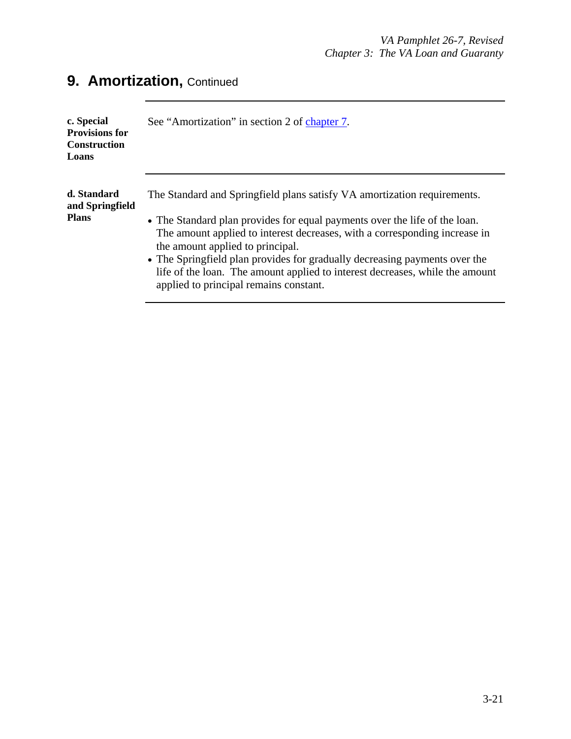| c. Special<br><b>Provisions for</b><br><b>Construction</b><br>Loans | See "Amortization" in section 2 of chapter 7.                                                                                                                                                                                                                                                                                                                                                                                                                                    |
|---------------------------------------------------------------------|----------------------------------------------------------------------------------------------------------------------------------------------------------------------------------------------------------------------------------------------------------------------------------------------------------------------------------------------------------------------------------------------------------------------------------------------------------------------------------|
| d. Standard<br>and Springfield<br><b>Plans</b>                      | The Standard and Springfield plans satisfy VA amortization requirements.<br>• The Standard plan provides for equal payments over the life of the loan.<br>The amount applied to interest decreases, with a corresponding increase in<br>the amount applied to principal.<br>• The Springfield plan provides for gradually decreasing payments over the<br>life of the loan. The amount applied to interest decreases, while the amount<br>applied to principal remains constant. |

## **9. Amortization, Continued**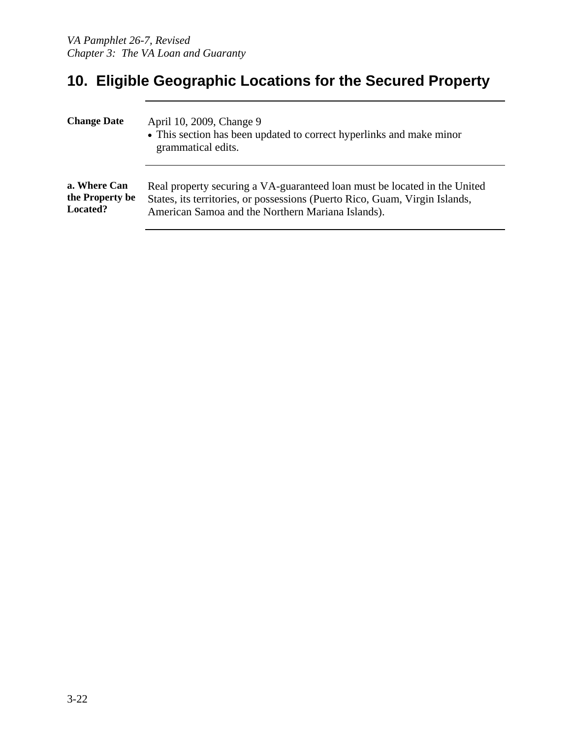## **10. Eligible Geographic Locations for the Secured Property**

| <b>Change Date</b> | April 10, 2009, Change 9<br>• This section has been updated to correct hyperlinks and make minor<br>grammatical edits. |
|--------------------|------------------------------------------------------------------------------------------------------------------------|
| a. Where Can       | Real property securing a VA-guaranteed loan must be located in the United                                              |
| the Property be    | States, its territories, or possessions (Puerto Rico, Guam, Virgin Islands,                                            |
| <b>Located?</b>    | American Samoa and the Northern Mariana Islands).                                                                      |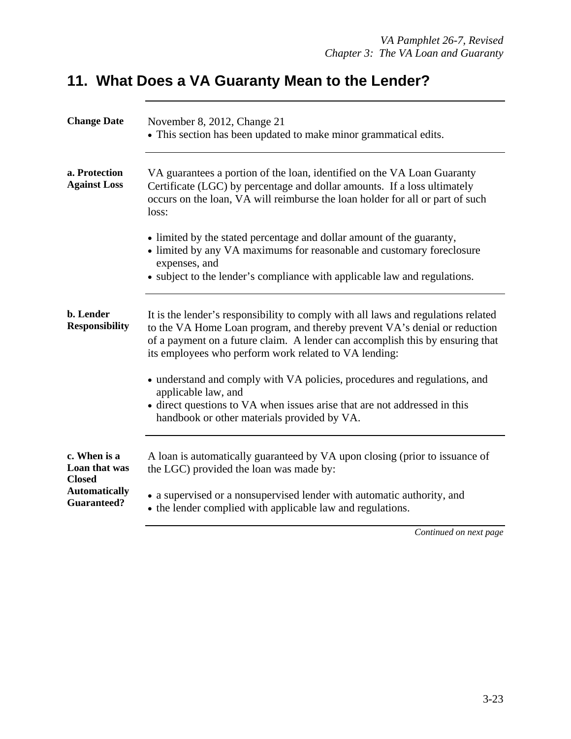## **11. What Does a VA Guaranty Mean to the Lender?**

| <b>Change Date</b>                             | November 8, 2012, Change 21<br>• This section has been updated to make minor grammatical edits.                                                                                                                                                                                                          |
|------------------------------------------------|----------------------------------------------------------------------------------------------------------------------------------------------------------------------------------------------------------------------------------------------------------------------------------------------------------|
| a. Protection<br><b>Against Loss</b>           | VA guarantees a portion of the loan, identified on the VA Loan Guaranty<br>Certificate (LGC) by percentage and dollar amounts. If a loss ultimately<br>occurs on the loan, VA will reimburse the loan holder for all or part of such<br>loss:                                                            |
|                                                | • limited by the stated percentage and dollar amount of the guaranty,<br>• limited by any VA maximums for reasonable and customary foreclosure<br>expenses, and<br>• subject to the lender's compliance with applicable law and regulations.                                                             |
| b. Lender<br><b>Responsibility</b>             | It is the lender's responsibility to comply with all laws and regulations related<br>to the VA Home Loan program, and thereby prevent VA's denial or reduction<br>of a payment on a future claim. A lender can accomplish this by ensuring that<br>its employees who perform work related to VA lending: |
|                                                | • understand and comply with VA policies, procedures and regulations, and<br>applicable law, and<br>• direct questions to VA when issues arise that are not addressed in this<br>handbook or other materials provided by VA.                                                                             |
| c. When is a<br>Loan that was<br><b>Closed</b> | A loan is automatically guaranteed by VA upon closing (prior to issuance of<br>the LGC) provided the loan was made by:                                                                                                                                                                                   |
| <b>Automatically</b><br><b>Guaranteed?</b>     | • a supervised or a nonsupervised lender with automatic authority, and<br>• the lender complied with applicable law and regulations.                                                                                                                                                                     |
|                                                | Continued on next page                                                                                                                                                                                                                                                                                   |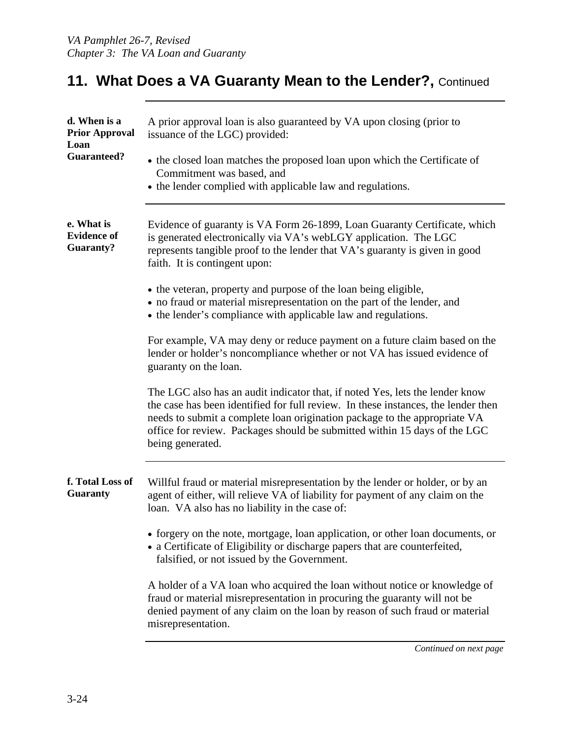### **11. What Does a VA Guaranty Mean to the Lender?, Continued**

| d. When is a<br><b>Prior Approval</b><br>Loan<br><b>Guaranteed?</b> | A prior approval loan is also guaranteed by VA upon closing (prior to<br>issuance of the LGC) provided:<br>• the closed loan matches the proposed loan upon which the Certificate of<br>Commitment was based, and<br>• the lender complied with applicable law and regulations.                                                                 |
|---------------------------------------------------------------------|-------------------------------------------------------------------------------------------------------------------------------------------------------------------------------------------------------------------------------------------------------------------------------------------------------------------------------------------------|
| e. What is<br><b>Evidence of</b><br><b>Guaranty?</b>                | Evidence of guaranty is VA Form 26-1899, Loan Guaranty Certificate, which<br>is generated electronically via VA's webLGY application. The LGC<br>represents tangible proof to the lender that VA's guaranty is given in good<br>faith. It is contingent upon:                                                                                   |
|                                                                     | • the veteran, property and purpose of the loan being eligible,<br>• no fraud or material misrepresentation on the part of the lender, and<br>• the lender's compliance with applicable law and regulations.                                                                                                                                    |
|                                                                     | For example, VA may deny or reduce payment on a future claim based on the<br>lender or holder's noncompliance whether or not VA has issued evidence of<br>guaranty on the loan.                                                                                                                                                                 |
|                                                                     | The LGC also has an audit indicator that, if noted Yes, lets the lender know<br>the case has been identified for full review. In these instances, the lender then<br>needs to submit a complete loan origination package to the appropriate VA<br>office for review. Packages should be submitted within 15 days of the LGC<br>being generated. |
| f. Total Loss of<br><b>Guaranty</b>                                 | Willful fraud or material misrepresentation by the lender or holder, or by an<br>agent of either, will relieve VA of liability for payment of any claim on the<br>loan. VA also has no liability in the case of:                                                                                                                                |
|                                                                     | • forgery on the note, mortgage, loan application, or other loan documents, or<br>• a Certificate of Eligibility or discharge papers that are counterfeited,<br>falsified, or not issued by the Government.                                                                                                                                     |
|                                                                     | A holder of a VA loan who acquired the loan without notice or knowledge of<br>fraud or material misrepresentation in procuring the guaranty will not be<br>denied payment of any claim on the loan by reason of such fraud or material<br>misrepresentation.                                                                                    |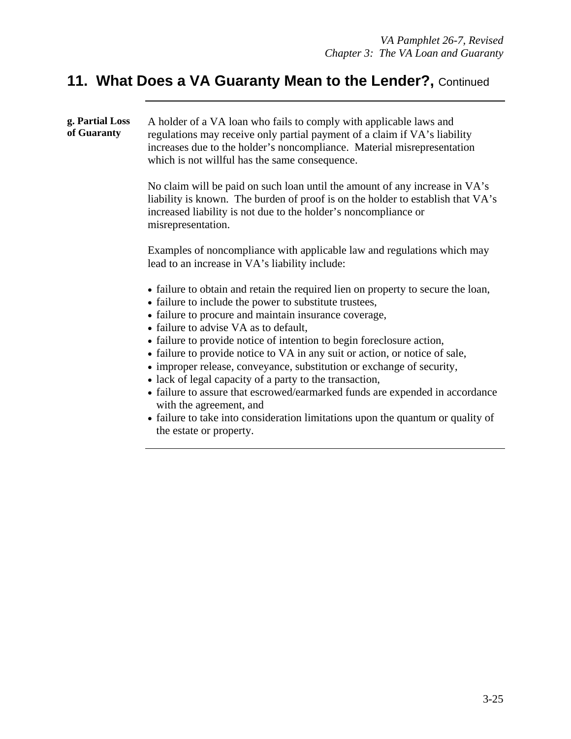## 11. What Does a VA Guaranty Mean to the Lender?, Continued

| g. Partial Loss<br>of Guaranty | A holder of a VA loan who fails to comply with applicable laws and<br>regulations may receive only partial payment of a claim if VA's liability<br>increases due to the holder's noncompliance. Material misrepresentation<br>which is not willful has the same consequence.                                                                                                                                                                                                                                                                                                                                                                                                                                                                                      |
|--------------------------------|-------------------------------------------------------------------------------------------------------------------------------------------------------------------------------------------------------------------------------------------------------------------------------------------------------------------------------------------------------------------------------------------------------------------------------------------------------------------------------------------------------------------------------------------------------------------------------------------------------------------------------------------------------------------------------------------------------------------------------------------------------------------|
|                                | No claim will be paid on such loan until the amount of any increase in VA's<br>liability is known. The burden of proof is on the holder to establish that VA's<br>increased liability is not due to the holder's noncompliance or<br>misrepresentation.                                                                                                                                                                                                                                                                                                                                                                                                                                                                                                           |
|                                | Examples of noncompliance with applicable law and regulations which may<br>lead to an increase in VA's liability include:                                                                                                                                                                                                                                                                                                                                                                                                                                                                                                                                                                                                                                         |
|                                | • failure to obtain and retain the required lien on property to secure the loan,<br>• failure to include the power to substitute trustees,<br>• failure to procure and maintain insurance coverage,<br>• failure to advise VA as to default,<br>• failure to provide notice of intention to begin foreclosure action,<br>• failure to provide notice to VA in any suit or action, or notice of sale,<br>• improper release, conveyance, substitution or exchange of security,<br>• lack of legal capacity of a party to the transaction,<br>• failure to assure that escrowed/earmarked funds are expended in accordance<br>with the agreement, and<br>• failure to take into consideration limitations upon the quantum or quality of<br>the estate or property. |
|                                |                                                                                                                                                                                                                                                                                                                                                                                                                                                                                                                                                                                                                                                                                                                                                                   |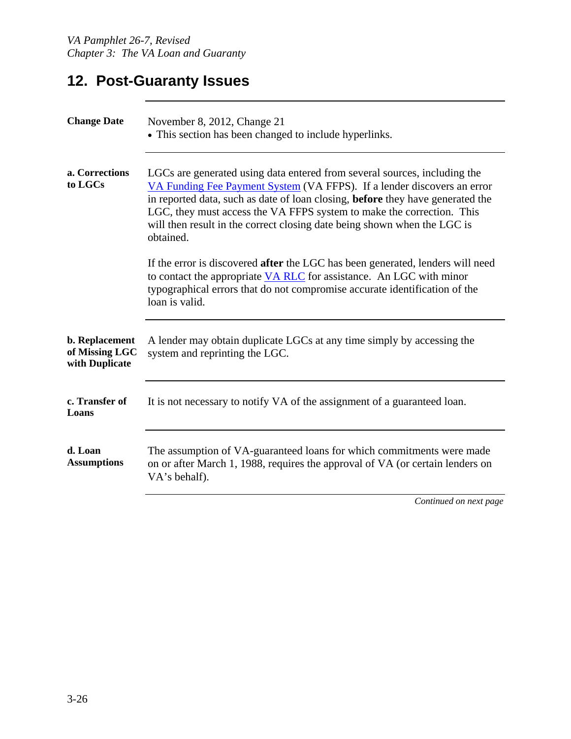## **12. Post-Guaranty Issues**

| <b>Change Date</b>                                 | November 8, 2012, Change 21<br>• This section has been changed to include hyperlinks.                                                                                                                                                                                                                                                                                                                    |
|----------------------------------------------------|----------------------------------------------------------------------------------------------------------------------------------------------------------------------------------------------------------------------------------------------------------------------------------------------------------------------------------------------------------------------------------------------------------|
| a. Corrections<br>to LGCs                          | LGCs are generated using data entered from several sources, including the<br>VA Funding Fee Payment System (VA FFPS). If a lender discovers an error<br>in reported data, such as date of loan closing, before they have generated the<br>LGC, they must access the VA FFPS system to make the correction. This<br>will then result in the correct closing date being shown when the LGC is<br>obtained. |
|                                                    | If the error is discovered <b>after</b> the LGC has been generated, lenders will need<br>to contact the appropriate VA RLC for assistance. An LGC with minor<br>typographical errors that do not compromise accurate identification of the<br>loan is valid.                                                                                                                                             |
| b. Replacement<br>of Missing LGC<br>with Duplicate | A lender may obtain duplicate LGCs at any time simply by accessing the<br>system and reprinting the LGC.                                                                                                                                                                                                                                                                                                 |
| c. Transfer of<br>Loans                            | It is not necessary to notify VA of the assignment of a guaranteed loan.                                                                                                                                                                                                                                                                                                                                 |
| d. Loan<br><b>Assumptions</b>                      | The assumption of VA-guaranteed loans for which commitments were made<br>on or after March 1, 1988, requires the approval of VA (or certain lenders on<br>VA's behalf).                                                                                                                                                                                                                                  |
|                                                    | Continued on next page                                                                                                                                                                                                                                                                                                                                                                                   |